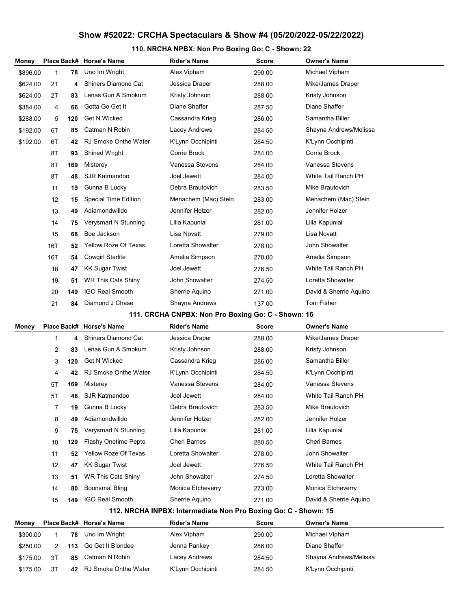## Show #52022: CRCHA Spectaculars & Show #4 (05/20/2022-05/22/2022)

## 110. NRCHA NPBX: Non Pro Boxing Go: C - Shown: 22

| Money                |                                                    |          | Place Back# Horse's Name               | Rider's Name                                                    | Score            | <b>Owner's Name</b>                         |  |
|----------------------|----------------------------------------------------|----------|----------------------------------------|-----------------------------------------------------------------|------------------|---------------------------------------------|--|
| \$896.00             | 1                                                  | 78       | Uno Im Wright                          | Alex Vipham                                                     | 290.00           | Michael Vipham                              |  |
| \$624.00             | 2T                                                 | 4        | <b>Shiners Diamond Cat</b>             | Jessica Draper                                                  | 288.00           | Mike/James Draper                           |  |
| \$624.00             | 2T                                                 | 83       | Lenas Gun A Smokum                     | Kristy Johnson                                                  | 288.00           | Kristy Johnson                              |  |
| \$384.00             | 4                                                  | 66       | Gotta Go Get It                        | Diane Shaffer                                                   | 287.50           | Diane Shaffer                               |  |
| \$288.00             | 5                                                  | 120      | <b>Get N Wicked</b>                    | Cassandra Krieg                                                 | 286.00           | Samantha Biller                             |  |
| \$192.00             | 6T                                                 | 85       | Catman N Robin                         | Lacey Andrews                                                   | 284.50           | Shayna Andrews/Melissa                      |  |
| \$192.00             | 6T                                                 | 42       | <b>RJ Smoke Onthe Water</b>            | K'Lynn Occhipinti                                               | 284.50           | K'Lynn Occhipinti                           |  |
|                      | 8T                                                 | 93       | <b>Shined Wright</b>                   | Corrie Brock                                                    | 284.00           | Corrie Brock                                |  |
|                      | 8T                                                 | 169      | Misterey                               | Vanessa Stevens                                                 | 284.00           | Vanessa Stevens                             |  |
|                      | 8T                                                 | 48       | SJR Katmandoo                          | Joel Jewett                                                     | 284.00           | White Tail Ranch PH                         |  |
|                      | 11                                                 | 19       | Gunna B Lucky                          | Debra Brautovich                                                | 283.50           | Mike Brautovich                             |  |
|                      | 12                                                 | 15       | <b>Special Time Edition</b>            | Menachem (Mac) Stein                                            | 283.00           | Menachem (Mac) Stein                        |  |
|                      | 13                                                 | 49       | Adiamondwilldo                         | Jennifer Holzer                                                 | 282.00           | Jennifer Holzer                             |  |
|                      | 14                                                 | 75       | Verysmart N Stunning                   | Lilia Kapuniai                                                  | 281.00           | Lilia Kapuniai                              |  |
|                      | 15                                                 | 68       | Boe Jackson                            | Lisa Novatt                                                     | 279.00           | Lisa Novatt                                 |  |
|                      | 16T                                                | 52       | <b>Yellow Roze Of Texas</b>            | Loretta Showalter                                               | 278.00           | John Showalter                              |  |
|                      | 16T                                                | 54       | <b>Cowgirl Starlite</b>                | Amelia Simpson                                                  | 278.00           | Amelia Simpson                              |  |
|                      | 18                                                 | 47       | <b>KK Sugar Twist</b>                  | Joel Jewett                                                     | 276.50           | White Tail Ranch PH                         |  |
|                      | 19                                                 | 51       | <b>WR This Cats Shiny</b>              | John Showalter                                                  | 274.50           | Loretta Showalter                           |  |
|                      | 20                                                 | 149      | <b>IGO Real Smooth</b>                 | Sherrie Aquino                                                  | 271.00           | David & Sherrie Aquino                      |  |
|                      | 21                                                 | 84       | Diamond J Chase                        | Shayna Andrews                                                  | 137.00           | <b>Toni Fisher</b>                          |  |
|                      | 111. CRCHA CNPBX: Non Pro Boxing Go: C - Shown: 16 |          |                                        |                                                                 |                  |                                             |  |
|                      |                                                    |          |                                        |                                                                 |                  |                                             |  |
| Money                |                                                    |          | Place Back# Horse's Name               | Rider's Name                                                    | Score            | <b>Owner's Name</b>                         |  |
|                      | 1                                                  | 4        | <b>Shiners Diamond Cat</b>             | Jessica Draper                                                  | 288.00           | Mike/James Draper                           |  |
|                      | 2                                                  | 83       | Lenas Gun A Smokum                     | Kristy Johnson                                                  | 288.00           | Kristy Johnson                              |  |
|                      | 3                                                  | 120      | <b>Get N Wicked</b>                    | Cassandra Krieg                                                 | 286.00           | Samantha Biller                             |  |
|                      | 4                                                  | 42       | <b>RJ Smoke Onthe Water</b>            | K'Lynn Occhipinti                                               | 284.50           | K'Lynn Occhipinti                           |  |
|                      | 5Τ                                                 | 169      | Misterey                               | Vanessa Stevens                                                 | 284.00           | Vanessa Stevens                             |  |
|                      | 5Τ                                                 | 48       | SJR Katmandoo                          | Joel Jewett                                                     | 284.00           | White Tail Ranch PH                         |  |
|                      | 7                                                  | 19       | Gunna B Lucky                          | Debra Brautovich                                                | 283.50           | Mike Brautovich                             |  |
|                      | 8                                                  | 49       | Adiamondwilldo                         | Jennifer Holzer                                                 | 282.00           | Jennifer Holzer                             |  |
|                      | 9                                                  | 75       | Verysmart N Stunning                   | Lilia Kapuniai                                                  | 281.00           | Lilia Kapuniai                              |  |
|                      | 10                                                 | 129      | <b>Flashy Onetime Pepto</b>            | <b>Cheri Barnes</b>                                             | 280.50           | <b>Cheri Barnes</b>                         |  |
|                      | 11                                                 | 52       | Yellow Roze Of Texas                   | Loretta Showalter                                               | 278.00           | John Showalter                              |  |
|                      | 12                                                 | 47       | <b>KK Sugar Twist</b>                  | Joel Jewett                                                     | 276.50           | White Tail Ranch PH                         |  |
|                      | 13                                                 | 51       | <b>WR This Cats Shiny</b>              | John Showalter                                                  | 274.50           | Loretta Showalter                           |  |
|                      | 14                                                 | 80       | <b>Boonsmal Bling</b>                  | Monica Etcheverry                                               | 273.00           | Monica Etcheverry                           |  |
|                      | 15                                                 | 149      | IGO Real Smooth                        | Sherrie Aquino                                                  | 271.00           | David & Sherrie Aquino                      |  |
|                      |                                                    |          |                                        | 112. NRCHA INPBX: Intermediate Non Pro Boxing Go: C - Shown: 15 |                  |                                             |  |
| <b>Money</b>         |                                                    |          | Place Back# Horse's Name               | <b>Rider's Name</b>                                             | <b>Score</b>     | <b>Owner's Name</b>                         |  |
| \$300.00             | 1                                                  | 78       | Uno Im Wright                          | Alex Vipham                                                     | 290.00           | Michael Vipham                              |  |
| \$250.00             | 2                                                  | 113      | Go Get It Blondee                      | Jenna Pankey                                                    | 286.00           | Diane Shaffer                               |  |
| \$175.00<br>\$175.00 | 3T<br>3T                                           | 85<br>42 | Catman N Robin<br>RJ Smoke Onthe Water | Lacey Andrews<br>K'Lynn Occhipinti                              | 284.50<br>284.50 | Shayna Andrews/Melissa<br>K'Lynn Occhipinti |  |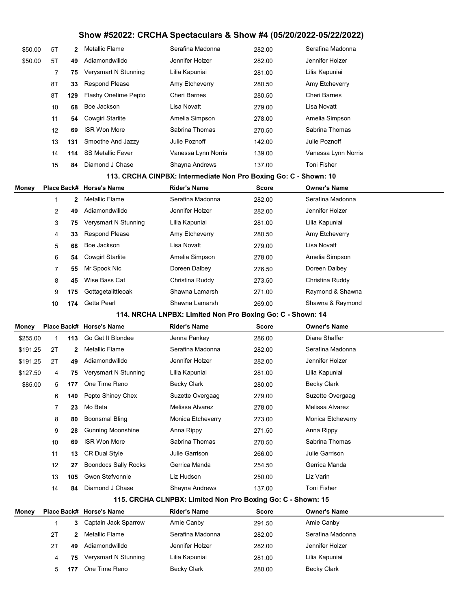## Show #52022: CRCHA Spectaculars & Show #4 (05/20/2022-05/22/2022)

| \$50.00  | 5T             | 2         | <b>Metallic Flame</b>                 | Serafina Madonna                                                 | 282.00           | Serafina Madonna                     |
|----------|----------------|-----------|---------------------------------------|------------------------------------------------------------------|------------------|--------------------------------------|
| \$50.00  | 5Τ             | 49        | Adiamondwilldo                        | Jennifer Holzer                                                  | 282.00           | Jennifer Holzer                      |
|          | 7              | 75        | Verysmart N Stunning                  | Lilia Kapuniai                                                   | 281.00           | Lilia Kapuniai                       |
|          | 8T             | 33        | <b>Respond Please</b>                 | Amy Etcheverry                                                   | 280.50           | Amy Etcheverry                       |
|          | 8T             | 129       | Flashy Onetime Pepto                  | <b>Cheri Barnes</b>                                              | 280.50           | <b>Cheri Barnes</b>                  |
|          | 10             | 68        | Boe Jackson                           | Lisa Novatt                                                      | 279.00           | Lisa Novatt                          |
|          | 11             | 54        | <b>Cowgirl Starlite</b>               | Amelia Simpson                                                   | 278.00           | Amelia Simpson                       |
|          | 12             | 69        | <b>ISR Won More</b>                   | Sabrina Thomas                                                   | 270.50           | Sabrina Thomas                       |
|          | 13             | 131       | Smoothe And Jazzy                     | <b>Julie Poznoff</b>                                             | 142.00           | Julie Poznoff                        |
|          | 14             | 114       | <b>SS Metallic Fever</b>              | Vanessa Lynn Norris                                              | 139.00           | Vanessa Lynn Norris                  |
|          | 15             | 84        | Diamond J Chase                       | Shayna Andrews                                                   | 137.00           | <b>Toni Fisher</b>                   |
|          |                |           |                                       | 113. CRCHA CINPBX: Intermediate Non Pro Boxing Go: C - Shown: 10 |                  |                                      |
| Money    |                |           | Place Back# Horse's Name              | Rider's Name                                                     | Score            | <b>Owner's Name</b>                  |
|          | $\mathbf{1}$   | 2         | <b>Metallic Flame</b>                 | Serafina Madonna                                                 | 282.00           | Serafina Madonna                     |
|          | 2              | 49        | Adiamondwilldo                        | Jennifer Holzer                                                  | 282.00           | Jennifer Holzer                      |
|          | 3              | 75        | Verysmart N Stunning                  | Lilia Kapuniai                                                   | 281.00           | Lilia Kapuniai                       |
|          | 4              | 33        | <b>Respond Please</b>                 | Amy Etcheverry                                                   | 280.50           | Amy Etcheverry                       |
|          | 5              | 68        | Boe Jackson                           | Lisa Novatt                                                      | 279.00           | Lisa Novatt                          |
|          | 6              | 54        | <b>Cowgirl Starlite</b>               | Amelia Simpson                                                   | 278.00           | Amelia Simpson                       |
|          | $\overline{7}$ | 55        | Mr Spook Nic                          | Doreen Dalbey                                                    | 276.50           | Doreen Dalbey                        |
|          | 8              | 45        | Wise Bass Cat                         | Christina Ruddy                                                  | 273.50           | Christina Ruddy                      |
|          | 9              | 175       | Gottagetalittleoak                    | Shawna Lamarsh                                                   | 271.00           | Raymond & Shawna                     |
|          | 10             | 174       | Getta Pearl                           | Shawna Lamarsh                                                   | 269.00           | Shawna & Raymond                     |
|          |                |           |                                       |                                                                  |                  |                                      |
|          |                |           |                                       | 114. NRCHA LNPBX: Limited Non Pro Boxing Go: C - Shown: 14       |                  |                                      |
| Money    |                |           | Place Back# Horse's Name              | <b>Rider's Name</b>                                              | Score            | <b>Owner's Name</b>                  |
| \$255.00 | 1              | 113       | Go Get It Blondee                     | Jenna Pankey                                                     | 286.00           | Diane Shaffer                        |
| \$191.25 | 2T             | 2         | Metallic Flame                        | Serafina Madonna                                                 | 282.00           | Serafina Madonna                     |
| \$191.25 | 2T             | 49        | Adiamondwilldo                        | Jennifer Holzer                                                  | 282.00           | Jennifer Holzer                      |
| \$127.50 | 4              | 75        | Verysmart N Stunning                  | Lilia Kapuniai                                                   | 281.00           | Lilia Kapuniai                       |
| \$85.00  | 5              | 177       | One Time Reno                         | <b>Becky Clark</b>                                               | 280.00           | <b>Becky Clark</b>                   |
|          | 6              | 140       | Pepto Shiney Chex                     | Suzette Overgaag                                                 | 279.00           | Suzette Overgaag                     |
|          | $\overline{7}$ | 23        | Mo Beta                               | Melissa Alvarez                                                  | 278.00           | Melissa Alvarez                      |
|          | 8              | 80        | <b>Boonsmal Bling</b>                 | Monica Etcheverry                                                | 273.00           | Monica Etcheverry                    |
|          | 9              | 28        | <b>Gunning Moonshine</b>              | Anna Rippy                                                       | 271.50           | Anna Rippy                           |
|          | 10             | 69        | <b>ISR Won More</b>                   | Sabrina Thomas                                                   | 270.50           | Sabrina Thomas                       |
|          | 11             | 13        | <b>CR Dual Style</b>                  | Julie Garrison                                                   | 266.00           | Julie Garrison                       |
|          | 12             | 27        | Boondocs Sally Rocks                  | Gerrica Manda                                                    | 254.50           | Gerrica Manda                        |
|          | 13             | 105       | Gwen Stefvonnie                       | Liz Hudson                                                       | 250.00           | Liz Varin                            |
|          | 14             | 84        | Diamond J Chase                       | Shayna Andrews                                                   | 137.00           | <b>Toni Fisher</b>                   |
|          |                |           |                                       | 115. CRCHA CLNPBX: Limited Non Pro Boxing Go: C - Shown: 15      |                  |                                      |
| Money    |                |           | Place Back# Horse's Name              | <b>Rider's Name</b>                                              | Score            | <b>Owner's Name</b>                  |
|          | $\mathbf{1}$   | 3         | Captain Jack Sparrow                  | Amie Canby                                                       | 291.50           | Amie Canby                           |
|          | 2T             | 2         | Metallic Flame                        | Serafina Madonna                                                 | 282.00           | Serafina Madonna                     |
|          | 2T             | 49        | Adiamondwilldo                        | Jennifer Holzer                                                  | 282.00           | Jennifer Holzer                      |
|          | 4<br>5         | 75<br>177 | Verysmart N Stunning<br>One Time Reno | Lilia Kapuniai<br><b>Becky Clark</b>                             | 281.00<br>280.00 | Lilia Kapuniai<br><b>Becky Clark</b> |